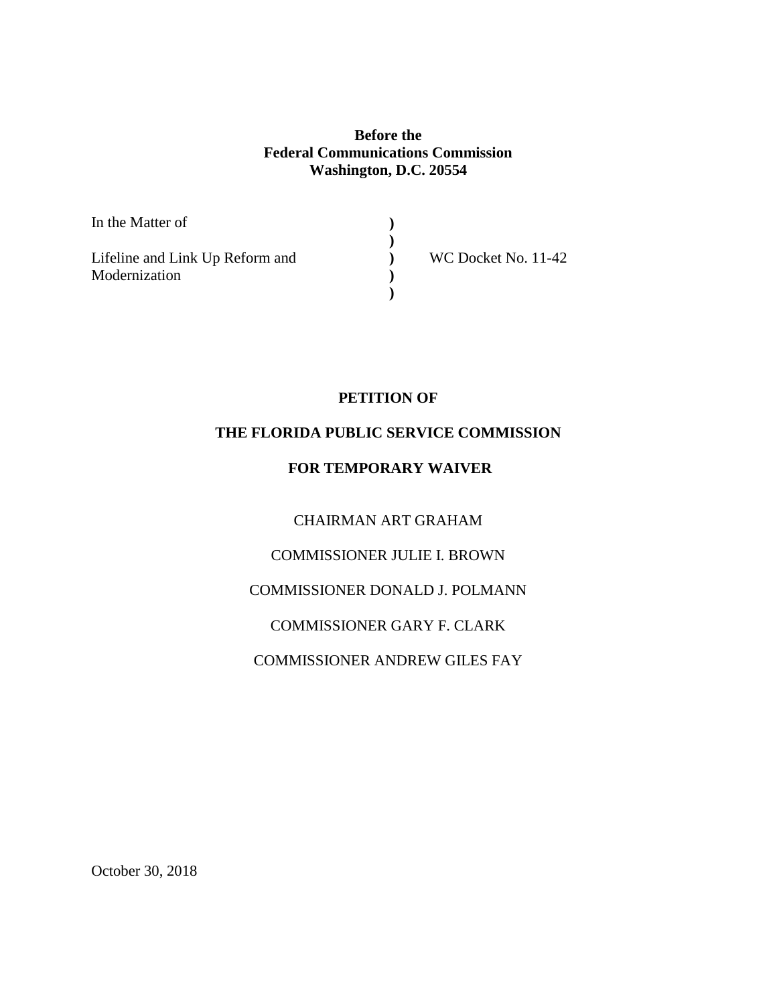## **Before the Federal Communications Commission Washington, D.C. 20554**

**) ) ) ) )**

In the Matter of

Lifeline and Link Up Reform and Modernization

WC Docket No. 11-42

# **PETITION OF**

# **THE FLORIDA PUBLIC SERVICE COMMISSION**

## **FOR TEMPORARY WAIVER**

CHAIRMAN ART GRAHAM

COMMISSIONER JULIE I. BROWN

COMMISSIONER DONALD J. POLMANN

COMMISSIONER GARY F. CLARK

COMMISSIONER ANDREW GILES FAY

October 30, 2018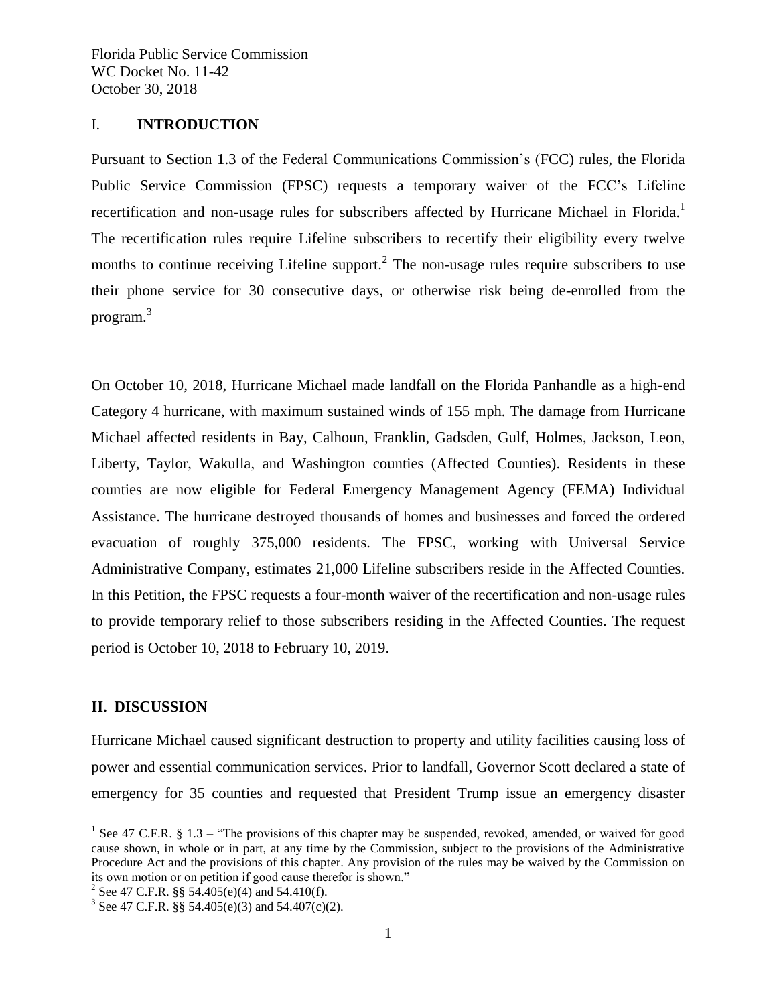#### I. **INTRODUCTION**

Pursuant to Section 1.3 of the Federal Communications Commission's (FCC) rules, the Florida Public Service Commission (FPSC) requests a temporary waiver of the FCC's Lifeline recertification and non-usage rules for subscribers affected by Hurricane Michael in Florida.<sup>1</sup> The recertification rules require Lifeline subscribers to recertify their eligibility every twelve months to continue receiving Lifeline support.<sup>2</sup> The non-usage rules require subscribers to use their phone service for 30 consecutive days, or otherwise risk being de-enrolled from the program.<sup>3</sup>

On October 10, 2018, Hurricane Michael made landfall on the Florida Panhandle as a high-end Category 4 hurricane, with maximum sustained winds of 155 mph. The damage from Hurricane Michael affected residents in Bay, Calhoun, Franklin, Gadsden, Gulf, Holmes, Jackson, Leon, Liberty, Taylor, Wakulla, and Washington counties (Affected Counties). Residents in these counties are now eligible for Federal Emergency Management Agency (FEMA) Individual Assistance. The hurricane destroyed thousands of homes and businesses and forced the ordered evacuation of roughly 375,000 residents. The FPSC, working with Universal Service Administrative Company, estimates 21,000 Lifeline subscribers reside in the Affected Counties. In this Petition, the FPSC requests a four-month waiver of the recertification and non-usage rules to provide temporary relief to those subscribers residing in the Affected Counties. The request period is October 10, 2018 to February 10, 2019.

## **II. DISCUSSION**

 $\overline{a}$ 

Hurricane Michael caused significant destruction to property and utility facilities causing loss of power and essential communication services. Prior to landfall, Governor Scott declared a state of emergency for 35 counties and requested that President Trump issue an emergency disaster

<sup>&</sup>lt;sup>1</sup> See 47 C.F.R. § 1.3 – "The provisions of this chapter may be suspended, revoked, amended, or waived for good cause shown, in whole or in part, at any time by the Commission, subject to the provisions of the Administrative Procedure Act and the provisions of this chapter. Any provision of the rules may be waived by the Commission on its own motion or on petition if good cause therefor is shown."

<sup>&</sup>lt;sup>2</sup> See 47 C.F.R. §§ 54.405(e)(4) and 54.410(f).

<sup>&</sup>lt;sup>3</sup> See 47 C.F.R. §§ 54.405(e)(3) and 54.407(c)(2).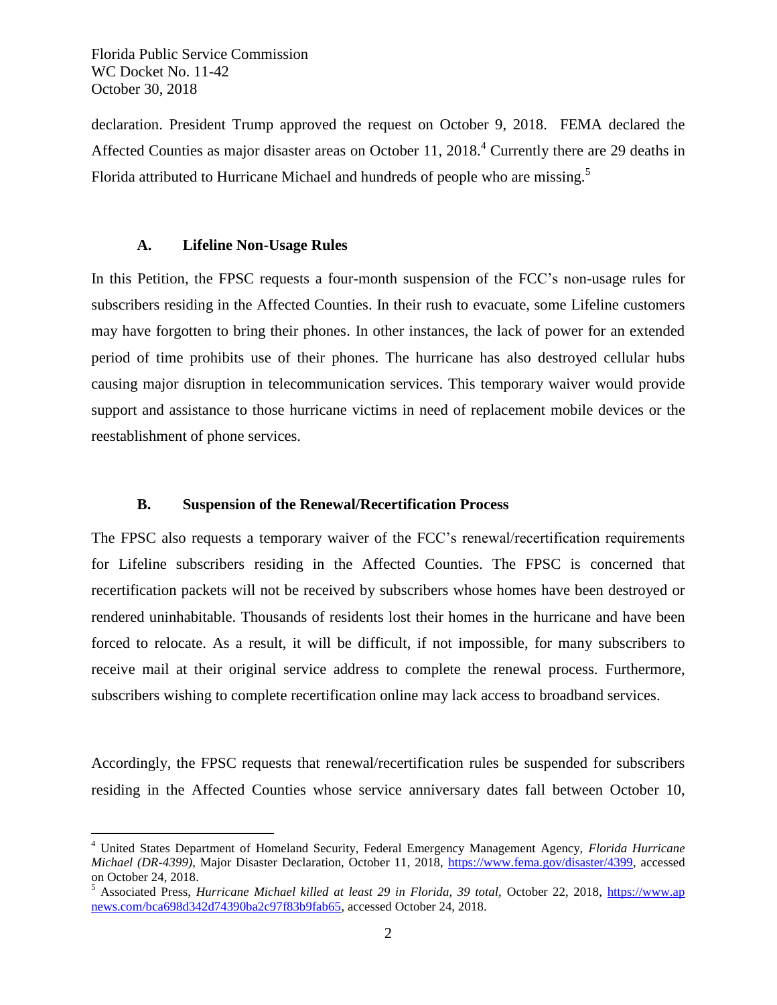Florida Public Service Commission WC Docket No. 11-42 October 30, 2018

 $\overline{a}$ 

declaration. President Trump approved the request on October 9, 2018. FEMA declared the Affected Counties as major disaster areas on October 11, 2018.<sup>4</sup> Currently there are 29 deaths in Florida attributed to Hurricane Michael and hundreds of people who are missing.<sup>5</sup>

#### **A. Lifeline Non-Usage Rules**

In this Petition, the FPSC requests a four-month suspension of the FCC's non-usage rules for subscribers residing in the Affected Counties. In their rush to evacuate, some Lifeline customers may have forgotten to bring their phones. In other instances, the lack of power for an extended period of time prohibits use of their phones. The hurricane has also destroyed cellular hubs causing major disruption in telecommunication services. This temporary waiver would provide support and assistance to those hurricane victims in need of replacement mobile devices or the reestablishment of phone services.

### **B. Suspension of the Renewal/Recertification Process**

The FPSC also requests a temporary waiver of the FCC's renewal/recertification requirements for Lifeline subscribers residing in the Affected Counties. The FPSC is concerned that recertification packets will not be received by subscribers whose homes have been destroyed or rendered uninhabitable. Thousands of residents lost their homes in the hurricane and have been forced to relocate. As a result, it will be difficult, if not impossible, for many subscribers to receive mail at their original service address to complete the renewal process. Furthermore, subscribers wishing to complete recertification online may lack access to broadband services.

Accordingly, the FPSC requests that renewal/recertification rules be suspended for subscribers residing in the Affected Counties whose service anniversary dates fall between October 10,

<sup>4</sup> United States Department of Homeland Security, Federal Emergency Management Agency, *Florida Hurricane Michael (DR-4399)*, Major Disaster Declaration, October 11, 2018, [https://www.fema.gov/disaster/4399,](https://www.fema.gov/disaster/4399) accessed on October 24, 2018.

<sup>&</sup>lt;sup>5</sup> Associated Press, *Hurricane Michael killed at least 29 in Florida, 39 total*, October 22, 2018, *https://www.ap* [news.com/bca698d342d74390ba2c97f83b9fab65,](https://www.apnews.com/bca698d342d74390ba2c97f83b9fab65) accessed October 24, 2018.